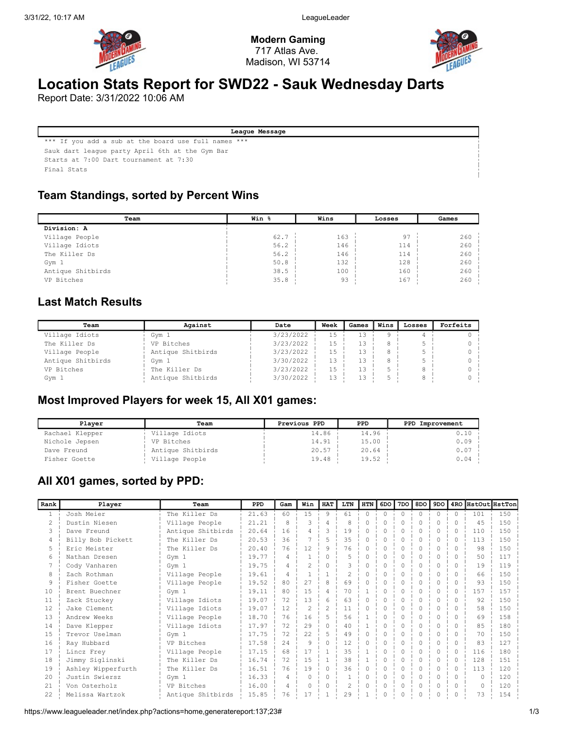

Modern Gaming 717 Atlas Ave. Madison, WI 53714



# Location Stats Report for SWD22 - Sauk Wednesday Darts

Report Date: 3/31/2022 10:06 AM

League Message

\*\*\* If you add a sub at the board use full names \*\*\* Sauk dart league party April 6th at the Gym Bar

Starts at 7:00 Dart tournament at 7:30

Final Stats

### Team Standings, sorted by Percent Wins

| Team              | Win % | Wins | Losses | Games |
|-------------------|-------|------|--------|-------|
| Division: A       |       |      |        |       |
| Village People    | 62.7  | 163  | 97     | 260   |
| Village Idiots    | 56.2  | 146  | 114    | 260   |
| The Killer Ds     | 56.2  | 146  | 114    | 260   |
| Gym 1             | 50.8  | 132  | 128    | 260   |
| Antique Shitbirds | 38.5  | 100  | 160    | 260   |
| VP Bitches        | 35.8  | 93   | 167    | 260   |

### Last Match Results

| Team              | Against           | Date      | Week | Games     | Wins | Losses | Forfeits |
|-------------------|-------------------|-----------|------|-----------|------|--------|----------|
| Village Idiots    | Gym 1             | 3/23/2022 | 15   |           |      |        |          |
| The Killer Ds     | VP Bitches        | 3/23/2022 | 15   |           |      |        |          |
| Village People    | Antique Shitbirds | 3/23/2022 | 15   | 13        |      |        |          |
| Antique Shitbirds | Gym 1             | 3/30/2022 | 13   | 13        |      |        |          |
| VP Bitches        | The Killer Ds     | 3/23/2022 | 15   | $\perp$ 3 |      |        |          |
| Gym 1             | Antique Shitbirds | 3/30/2022 | 13   |           |      |        |          |

#### Most Improved Players for week 15, All X01 games:

| Plaver          | Team              | Previous PPD | <b>PPD</b> | PPD Improvement |
|-----------------|-------------------|--------------|------------|-----------------|
| Rachael Klepper | Village Idiots    | 14.86        | 14.96      | 0.10 i          |
| Nichole Jepsen  | VP Bitches        | 14.91        | 15.00      | $0.09$ i        |
| Dave Freund     | Antique Shitbirds | 20.57        | 20.64      | $0.07 -$        |
| Fisher Goette   | Village People    | 19.48        | 19.52      | $0.04 -$        |

### All X01 games, sorted by PPD:

| Rank          | Player             | Team              | <b>PPD</b> | Gam | Win      | <b>HAT</b>     | LTN            | <b>HTN</b> | 6DO I    | 7DO    | 8DO      | 9DO      |              | 4RO HstOut HstTon |     |
|---------------|--------------------|-------------------|------------|-----|----------|----------------|----------------|------------|----------|--------|----------|----------|--------------|-------------------|-----|
|               | Josh Meier         | The Killer Ds     | 21.63      | 60  | 15       | 9              | 61             | $\Omega$   | $\Omega$ | $\cap$ | $\Omega$ | $\Omega$ | $\Omega$     | 101               | 150 |
| $\mathcal{L}$ | Dustin Niesen      | Village People    | 21.21      | 8   | २        | Δ              | 8              | $\cap$     | ∩        |        | ∩        | ∩.       |              | 4.5               | 150 |
| 3             | Dave Freund        | Antique Shitbirds | 20.64      | 16  | 4        | Κ              | 19             |            |          |        |          |          | ∩            | 110               | 150 |
|               | Billy Bob Pickett  | The Killer Ds     | 20.53      | 36  |          | 5              | 35             |            |          |        |          |          | <sup>0</sup> | 113               | 150 |
|               | Eric Meister       | The Killer Ds     | 20.40      | 76  | 12       | 9              | 76             | $\Omega$   |          |        |          | $\Omega$ |              | 98                | 150 |
| 6             | Nathan Dresen      | Gym 1             | 19.77      | 4   |          | Λ              | 5              | 0          |          |        |          | $\Omega$ |              | 50                | 117 |
|               | Cody Vanharen      | Gym 1             | 19.75      | 4   |          |                | 3              |            |          |        |          | $\Omega$ |              | 19                | 119 |
| 8             | Zach Rothman       | Village People    | 19.61      | 4   |          |                | $\mathfrak{D}$ | Λ          |          |        |          |          |              | 66                | 150 |
| 9             | Fisher Goette      | Village People    | 19.52      | 80  | 27       | 8              | 69             |            |          |        |          |          |              | 93                | 150 |
| 10            | Brent Buechner     | Gym 1             | 19.11      | 80  | 1.5      | 4              | 70             |            |          |        | ∩        | $\Omega$ | $\bigcap$    | 157               | 157 |
| 11            | Zack Stuckey       | Village Idiots    | 19.07      | 72  | 13       | 6              | 63             | 0          |          |        |          | $\Omega$ | ∩            | 92                | 150 |
| 12            | Jake Clement       | Village Idiots    | 19.07      | 12  | 2        | $\mathfrak{D}$ | 11             | $\cap$     |          |        |          | $\Omega$ |              | 58                | 150 |
| 1.3           | Andrew Weeks       | Village People    | 18.70      | 76  | 16       | 5              | 56             |            |          |        |          |          |              | 69                | 158 |
| 14            | Dave Klepper       | Village Idiots    | 17.97      | 72  | 29       |                | 40             |            |          |        |          |          |              | 85                | 180 |
| 15            | Trevor Uselman     | Gym 1             | 17.75      | 72  | 22       |                | 49             | 0          |          |        |          | 0        |              | 70                | 150 |
| 16            | Ray Hubbard        | VP Bitches        | 17.58      | 2.4 | 9        | Λ              | 12             | 0          |          |        |          | $\Omega$ |              | 83                | 127 |
| 17            | Lincz Frey         | Village People    | 17.15      | 68  | 17       |                | 35             |            |          |        | ∩        | $\Omega$ | ∩            | 116               | 180 |
| 18            | Jimmy Siglinski    | The Killer Ds     | 16.74      | 72  | 1.5      |                | 38             |            |          |        | ∩        | $\Omega$ | ∩            | 128               | 151 |
| 19            | Ashley Wipperfurth | The Killer Ds     | 16.51      | 76  | 19       | 0              | 36             |            |          |        |          | 0        | $\cap$       | 113               | 120 |
| 20            | Justin Swiersz     | Gym 1             | 16.33      | 4   | $\Omega$ | 0              |                | 0          |          |        | ∩        | $\Omega$ | ∩            | <sup>n</sup>      | 120 |
| 21            | Von Osterholz      | VP Bitches        | 16.00      | 4   | $\cap$   | <sup>0</sup>   | 2              | 0          | O        |        | ∩        | $\Omega$ | ∩            |                   | 120 |
| 22.           | Melissa Wartzok    | Antique Shitbirds | 15.85      | 76  | 17       |                | 29             |            |          |        | 0        | 0        |              | 73                | 154 |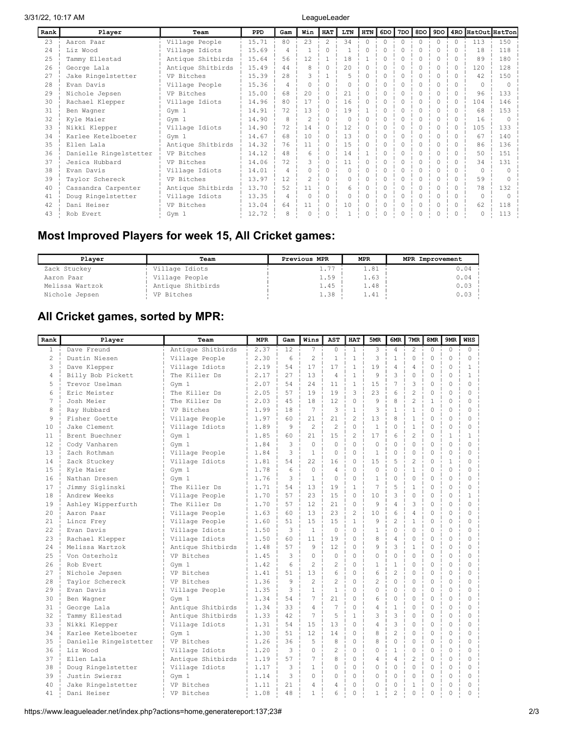| Rank | Player                 | Team              | <b>PPD</b> | Gam            | Win | <b>HAT</b>    | LTN      | <b>HTN</b> | 6DO     | 7DO    | 8DO      | 9D0      |        | 4RO HstOut HstTon |     |
|------|------------------------|-------------------|------------|----------------|-----|---------------|----------|------------|---------|--------|----------|----------|--------|-------------------|-----|
| 23   | Aaron Paar             | Village People    | 15.71      | 80             | 23  | $\mathcal{L}$ | 34       | $\Omega$   | $0 - i$ | $\cap$ | $\Omega$ | $\Omega$ | $\cap$ | 113               | 150 |
| 2.4  | Liz Wood               | Village Idiots    | 15.69      | 4              |     | 0             |          |            | 0       |        |          | $\Omega$ |        | 18                | 118 |
| 2.5  | Tammy Ellestad         | Antique Shitbirds | 15.64      | 56             | 12  |               | 18       |            | Λ       |        | O        | $\Omega$ |        | 89                | 180 |
| 26   | George Lala            | Antique Shitbirds | 15.49      | 44             | 8   |               | 2.0      |            |         |        |          | $\cap$   |        | 120               | 128 |
| 27   | Jake Ringelstetter     | VP Bitches        | 15.39      | 2.8            |     |               |          |            | O       |        |          | 0        |        | 42                | 150 |
| 28   | Evan Davis             | Village People    | 15.36      | $\overline{4}$ | 0   | U.            | $\Omega$ |            | O       |        | 0        | $\Omega$ |        |                   |     |
| 29   | Nichole Jepsen         | VP Bitches        | 15.00      | 68             | 20  |               | 21       |            |         |        |          |          |        | 96                | 133 |
| 30   | Rachael Klepper        | Village Idiots    | 14.96      | 80             | 17  | 0             | 16       |            | O       |        |          | $\Omega$ |        | 104               | 146 |
| 31   | Ben Waqner             | Gym 1             | 14.91      | 72             | 13  | ∩             | 19       |            |         |        |          | $\Omega$ |        | 68                | 153 |
| 32   | Kyle Maier             | Gym 1             | 14.90      | 8              |     |               | $\Omega$ |            |         |        |          |          |        | 16                |     |
| 33   | Nikki Klepper          | Village Idiots    | 14.90      | 72             | 14  |               | 12       |            | ∩       |        |          | $\Omega$ |        | 105               | 133 |
| 34   | Karlee Ketelboeter     | Gym 1             | 14.67      | 68             | 10  |               | 13       |            |         |        |          | $\cap$   |        | 67                | 140 |
| 35   | Ellen Lala             | Antique Shitbirds | 14.32      | 76             | 11  | 0             | 15       |            | 0       |        |          | 0        |        | 86                | 136 |
| 36   | Danielle Ringelstetter | VP Bitches        | 14.12      | 48             | 6   |               | 14       |            |         |        |          | $\cap$   |        | 50                | 151 |
| 37   | Jesica Hubbard         | VP Bitches        | 14.06      | 72             | S.  | ∩             | 11       |            |         |        |          |          |        | 34                | 131 |
| 38   | Evan Davis             | Village Idiots    | 14.01      | $\overline{4}$ | 0.  | 0             | $\Omega$ |            | 0       |        |          | 0        |        |                   |     |
| 39   | Taylor Schereck        | VP Bitches        | 13.97      | 12             |     |               | $\Omega$ |            |         |        |          | $\Omega$ |        | 59                |     |
| 40   | Cassandra Carpenter    | Antique Shitbirds | 13.70      | 52             | 11  |               | 6        |            |         |        |          |          |        | 78                | 132 |
| 41   | Doug Ringelstetter     | Village Idiots    | 13.35      | 4              | O   | ∩             | $\Omega$ |            | O       |        | Λ        | $\Omega$ |        | $\cap$            |     |
| 42   | Dani Heiser            | VP Bitches        | 13.04      | 64             | 11  |               | 10       |            |         |        |          |          |        | 62                | 118 |
| 43   | Rob Evert              | Gym 1             | 12.72      |                |     |               |          |            |         |        |          |          |        |                   | 113 |

# Most Improved Players for week 15, All Cricket games:

| Plaver          | Team              | Previous MPR | <b>MPR</b> | MPR Improvement |
|-----------------|-------------------|--------------|------------|-----------------|
| Zack Stuckey    | Village Idiots    | $- -$        | 1.81       | $0.04 -$        |
| Aaron Paar      | Village People    | 1.59         | 1.63       | $0.04 -$        |
| Melissa Wartzok | Antique Shitbirds | 1.45         | 1.48       | $0.03 -$        |
| Nichole Jepsen  | VP Bitches        | 1.38         | 1.41       | $0.03 -$        |

# All Cricket games, sorted by MPR:

| Rank           | Player                 | Team              | <b>MPR</b> | Gam | Wins           | <b>AST</b>     | <b>HAT</b>     | 5MR            | 6MR                      | 7MR            | 8MR          | 9MR          | <b>WHS</b>   |
|----------------|------------------------|-------------------|------------|-----|----------------|----------------|----------------|----------------|--------------------------|----------------|--------------|--------------|--------------|
| $\mathbf{1}$   | Dave Freund            | Antique Shitbirds | 2.37       | 12  | $\overline{7}$ | $\Omega$       | $\mathbf{1}$   | 3              | $\overline{4}$           | $\overline{c}$ | $\Omega$     | $\Omega$     | $\Omega$     |
| $\overline{2}$ | Dustin Niesen          | Village People    | 2.30       | 6   | $\overline{2}$ | $\mathbf{1}$   | $\mathbf{1}$   | 3              | $\mathbf{1}$             | $\circ$        | $\circ$      | $\Omega$     | $\circ$      |
| 3              | Dave Klepper           | Village Idiots    | 2.19       | 54  | 17             | 17             | 1              | 19             | 4                        | 4              | 0            | $\Omega$     | $\mathbf{1}$ |
| 4              | Billy Bob Pickett      | The Killer Ds     | 2.17       | 27  | 13             | 4              | $\mathbf{1}$   | 9              | 3                        | 0              | 0            | 0            | $\mathbf{1}$ |
| 5              | Trevor Uselman         | Gym 1             | 2.07       | 54  | 24             | 11             | $\mathbf{1}$   | 15             | 7                        | 3              | 0            | 0            | $\circ$      |
| 6              | Eric Meister           | The Killer Ds     | 2.05       | 57  | 19             | 19             | 3              | 23             | 6                        | $\overline{c}$ | $\Omega$     | $\Omega$     | $\Omega$     |
| 7              | Josh Meier             | The Killer Ds     | 2.03       | 45  | 18             | 12             | 0              | 9              | 8                        | $\overline{c}$ | $\mathbf{1}$ | 0            | $\mathbf 0$  |
| 8              | Ray Hubbard            | VP Bitches        | 1.99       | 18  | 7              | 3              | $\mathbf{1}$   | 3              | $\mathbf{1}$             | $\mathbf{1}$   | $\Omega$     | $\Omega$     | $\Omega$     |
| $\circ$        | Fisher Goette          | Village People    | 1.97       | 60  | 2.1            | 21             | $\overline{c}$ | 13             | 8                        | $\mathbf{1}$   | $\Omega$     | $\Omega$     | $\Omega$     |
| 10             | Jake Clement           | Village Idiots    | 1.89       | 9   | $\mathfrak{D}$ | $\mathfrak{D}$ | $\Omega$       | $\mathbf{1}$   | $\Omega$                 | $\mathbf{1}$   | $\Omega$     | $\Omega$     | $\Omega$     |
| 11             | Brent Buechner         | Gym 1             | 1.85       | 60  | 21             | 1.5            | $\mathfrak{D}$ | 17             | 6                        | $\overline{2}$ | $\Omega$     | $\mathbf{1}$ | $\mathbf{1}$ |
| 12             | Cody Vanharen          | Gym 1             | 1.84       | 3   | $\mathbf 0$    | $\Omega$       | $\Omega$       | $\Omega$       | 0                        | 0              | $\mathbf 0$  | $\Omega$     | $\Omega$     |
| 13             | Zach Rothman           | Village People    | 1.84       | 3   | $\mathbf{1}$   | $\Omega$       | $\Omega$       | $\mathbf{1}$   | $\Omega$                 | 0              | 0            | 0            | $\Omega$     |
| 14             | Zack Stuckey           | Village Idiots    | 1.81       | 54  | 22             | 16             | $\Omega$       | 15             | 5                        | $\overline{c}$ | $\Omega$     | $\mathbf{1}$ | $\Omega$     |
| 15             | Kyle Maier             | Gym 1             | 1.78       | 6   | $\Omega$       | 4              | $\Omega$       | $\Omega$       | $\Omega$                 | $\mathbf{1}$   | 0            | $\Omega$     | $\mathbf 0$  |
| 16             | Nathan Dresen          | Gym 1             | 1.76       | 3   | $\mathbf{1}$   | $\Omega$       | $\Omega$       | 1              | 0                        | $\circ$        | $\circ$      | $\Omega$     | $\Omega$     |
| 17             | Jimmy Siglinski        | The Killer Ds     | 1.71       | 54  | 13             | 19             | $\mathbf{1}$   | 7              | 5                        | $\mathbf{1}$   | $\Omega$     | $\Omega$     | $\Omega$     |
| 18             | Andrew Weeks           | Village People    | 1.70       | 57  | 23             | 15             | $\Omega$       | 10             | 3                        | 0              | 0            | 0            | $\mathbf{1}$ |
| 19             | Ashley Wipperfurth     | The Killer Ds     | 1.70       | 57  | 12             | 21             | $\Omega$       | 9              | $\overline{4}$           | 3              | 0            | $\Omega$     | $\Omega$     |
| 20             | Aaron Paar             | Village People    | 1.63       | 60  | 13             | 23             | $\overline{c}$ | 10             | 6                        | 4              | $\circ$      | $\Omega$     | $\Omega$     |
| 21             | Lincz Frey             | Village People    | 1.60       | 51  | 15             | 15             | $\mathbf{1}$   | 9              | $\overline{c}$           | $\mathbf{1}$   | 0            | 0            | $\Omega$     |
| 22             | Evan Davis             | Village Idiots    | 1.50       | 3   | $\mathbf{1}$   | $\Omega$       | $\Omega$       | $\mathbf{1}$   | $\Omega$                 | $\Omega$       | $\mathbf 0$  | $\Omega$     | $\Omega$     |
| 23             | Rachael Klepper        | Village Idiots    | 1.50       | 60  | 11             | 19             | 0              | 8              | 4                        | 0              | 0            | 0            | $\mathbf 0$  |
| 2.4            | Melissa Wartzok        | Antique Shitbirds | 1.48       | 57  | 9              | 12             | $\Omega$       | 9              | 3                        | $\mathbf{1}$   | $\circ$      | $\Omega$     | $\Omega$     |
| 2.5            | Von Osterholz          | VP Bitches        | 1.45       | 3   | $\Omega$       | $\Omega$       | $\Omega$       | $\Omega$       | $\Omega$                 | $\Omega$       | $\Omega$     | $\Omega$     | $\Omega$     |
| 26             | Rob Evert              | Gym 1             | 1.42       | 6   | $\overline{2}$ | $\overline{c}$ | $\Omega$       | 1              | $\mathbf{1}$             | 0              | 0            | $\Omega$     | $\Omega$     |
| 27             | Nichole Jepsen         | VP Bitches        | 1.41       | 51  | 13             | 6              | $\Omega$       | 6              | $\overline{2}$           | 0              | 0            | $\Omega$     | $\Omega$     |
| 28             | Taylor Schereck        | VP Bitches        | 1.36       | 9   | $\overline{c}$ | $\overline{2}$ | $\Omega$       | $\overline{c}$ | $\Omega$                 | 0              | 0            | $\Omega$     | $\Omega$     |
| 29             | Evan Davis             | Village People    | 1.35       | 3   | $\mathbf{1}$   | $\mathbf{1}$   | $\Omega$       | 0              | 0                        | $\circ$        | $\circ$      | $\Omega$     | $\Omega$     |
| 30             | Ben Wagner             | Gym 1             | 1.34       | 54  | 7              | 21             | $\Omega$       | 6              | $\Omega$                 | 0              | 0            | $\Omega$     | $\Omega$     |
| 31             | George Lala            | Antique Shitbirds | 1.34       | 33  | $\overline{4}$ | 7              | $\Omega$       | 4              | $\mathbf{1}$             | 0              | 0            | 0            | $\Omega$     |
| 32             | Tammy Ellestad         | Antique Shitbirds | 1.33       | 42  | 7              | 5              | 1              | 3              | 3                        | 0              | 0            | 0            | $\mathbf 0$  |
| 33             | Nikki Klepper          | Village Idiots    | 1.31       | 54  | 1.5            | 13             | $\Omega$       | 4              | 3                        | 0              | $\Omega$     | $\Omega$     | $\Omega$     |
| 34             | Karlee Ketelboeter     | Gym 1             | 1.30       | 51  | 12             | 14             | $\Omega$       | 8              | $\overline{c}$           | $\circ$        | $\circ$      | $\Omega$     | $\Omega$     |
| 35             | Danielle Ringelstetter | VP Bitches        | 1.26       | 36  | 5              | 8              | $\mathbf 0$    | 8              | $\Omega$                 | 0              | 0            | $\Omega$     | $\Omega$     |
| 36             | Liz Wood               | Village Idiots    | 1.20       | 3   | $\Omega$       | $\overline{c}$ | $\Omega$       | 0              | $\mathbf{1}$             | $\Omega$       | $\Omega$     | $\Omega$     | $\Omega$     |
| 37             | Ellen Lala             | Antique Shitbirds | 1.19       | 57  | 7              | 8              | $\Omega$       | 4              | 4                        | $\overline{c}$ | 0            | $\Omega$     | $\circ$      |
| 38             | Doug Ringelstetter     | Village Idiots    | 1.17       | 3   | $\mathbf{1}$   | $\Omega$       | $\Omega$       | $\Omega$       | $\Omega$                 | $\circ$        | $\circ$      | $\Omega$     | $\Omega$     |
| 39             | Justin Swiersz         | Gym 1             | 1.14       | 3   | 0              | 0              | 0              | 0              | 0                        | 0              | $\mathbf 0$  | 0            | $\mathbf 0$  |
| 40             | Jake Ringelstetter     | VP Bitches        | 1.11       | 21  | 4              | 4              | $\Omega$       | 0              | $\Omega$                 | $\mathbf{1}$   | 0            | $\circ$      | $\Omega$     |
| 41             | Dani Heiser            | VP Bitches        | 1.08       | 48  | $\mathbf{1}$   | 6              | $\Omega$       | 1              | $\overline{\mathcal{L}}$ | $\Omega$       | $\Omega$     | $\Omega$     | $\cap$       |